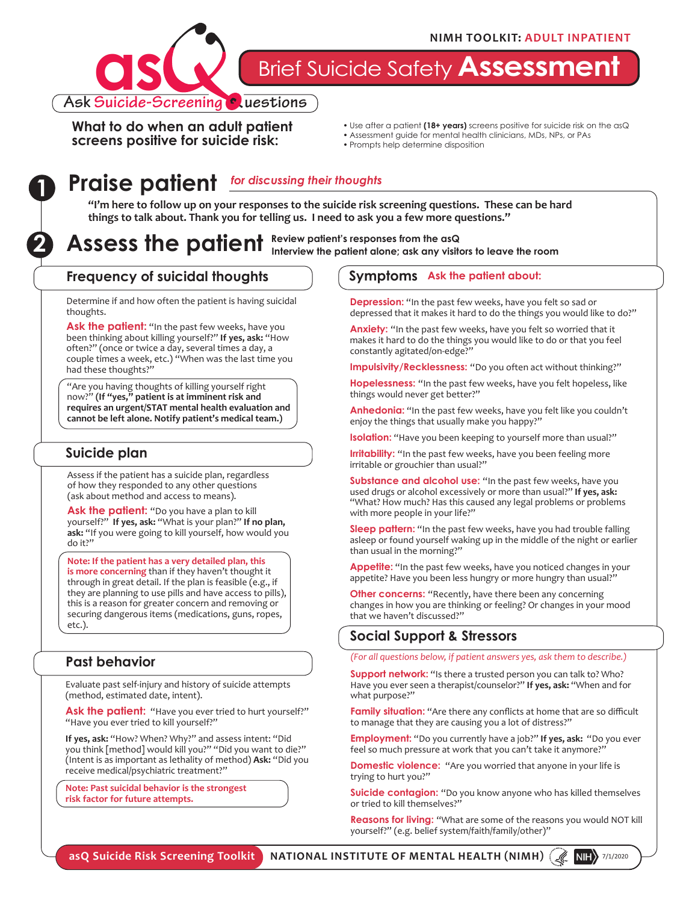

Brief Suicide Safety **Assessment**

**What to do when an adult patient screens positive for suicide risk:**

- Use after a patient **(18+ years)** screens positive for suicide risk on the asQ
- Assessment guide for mental health clinicians, MDs, NPs, or PAs
- Prompts help determine disposition

# **Praise patient 1** *for discussing their thoughts*

**"I'm here to follow up on your responses to the suicide risk screening questions. These can be hard things to talk about. Thank you for telling us. I need to ask you a few more questions."**

**2** Assess the patient Review patient's responses from the asQ **Interview the patient alone; ask any visitors to leave the room**

#### **Frequency of suicidal thoughts**

Determine if and how often the patient is having suicidal thoughts.

Ask the patient: "In the past few weeks, have you been thinking about killing yourself?" **If yes, ask:** "How often?" (once or twice a day, several times a day, a couple times a week, etc.) "When was the last time you had these thoughts?"

"Are you having thoughts of killing yourself right now?" **(If "yes," patient is at imminent risk and requires an urgent/STAT mental health evaluation and cannot be left alone. Notify patient's medical team.)**

#### **Suicide plan**

Assess if the patient has a suicide plan, regardless of how they responded to any other questions (ask about method and access to means).

Ask the patient: "Do you have a plan to kill yourself?" **If yes, ask:** "What is your plan?" **If no plan, ask:** "If you were going to kill yourself, how would you do it?"

**Note: If the patient has a very detailed plan, this is more concerning** than if they haven't thought it through in great detail. If the plan is feasible (e.g., if they are planning to use pills and have access to pills), this is a reason for greater concern and removing or securing dangerous items (medications, guns, ropes, etc.).

### **Past behavior**

Evaluate past self-injury and history of suicide attempts (method, estimated date, intent).

Ask the patient: "Have you ever tried to hurt yourself?" "Have you ever tried to kill yourself?"

**If yes, ask:** "How? When? Why?" and assess intent: "Did you think [method] would kill you?" "Did you want to die?" (Intent is as important as lethality of method) **Ask:** "Did you receive medical/psychiatric treatment?"

**Note: Past suicidal behavior is the strongest risk factor for future attempts.** 

#### **Symptoms Ask the patient about:**

**Depression:** "In the past few weeks, have you felt so sad or depressed that it makes it hard to do the things you would like to do?"

**Anxiety:** "In the past few weeks, have you felt so worried that it makes it hard to do the things you would like to do or that you feel constantly agitated/on-edge?"

**Impulsivity/Recklessness:** "Do you often act without thinking?"

**Hopelessness:** "In the past few weeks, have you felt hopeless, like things would never get better?"

**Anhedonia:** "In the past few weeks, have you felt like you couldn't enjoy the things that usually make you happy?"

**Isolation:** "Have you been keeping to yourself more than usual?"

**Irritability:** "In the past few weeks, have you been feeling more irritable or grouchier than usual?"

**Substance and alcohol use:** "In the past few weeks, have you used drugs or alcohol excessively or more than usual?" **If yes, ask:** "What? How much? Has this caused any legal problems or problems with more people in your life?"

**Sleep pattern:** "In the past few weeks, have you had trouble falling asleep or found yourself waking up in the middle of the night or earlier than usual in the morning?"

Appetite: "In the past few weeks, have you noticed changes in your appetite? Have you been less hungry or more hungry than usual?"

**Other concerns:** "Recently, have there been any concerning changes in how you are thinking or feeling? Or changes in your mood that we haven't discussed?"

#### **Social Support & Stressors**

*(For all questions below, if patient answers yes, ask them to describe.)*

**Support network:** "Is there a trusted person you can talk to? Who? Have you ever seen a therapist/counselor?" **If yes, ask:** "When and for what purpose?"

**Family situation:** "Are there any conflicts at home that are so difficult to manage that they are causing you a lot of distress?"

**Employment:** "Do you currently have a job?" **If yes, ask:** "Do you ever feel so much pressure at work that you can't take it anymore?"

**Domestic violence:** "Are you worried that anyone in your life is trying to hurt you?"

**Suicide contagion:** "Do you know anyone who has killed themselves or tried to kill themselves?"

**Reasons for living:** "What are some of the reasons you would NOT kill yourself?" (e.g. belief system/faith/family/other)"

**asQ Suicide Risk Screening Toolkit NATIONAL INSTITUTE OF MENTAL HEALTH (NIMH)** 7/1/2020